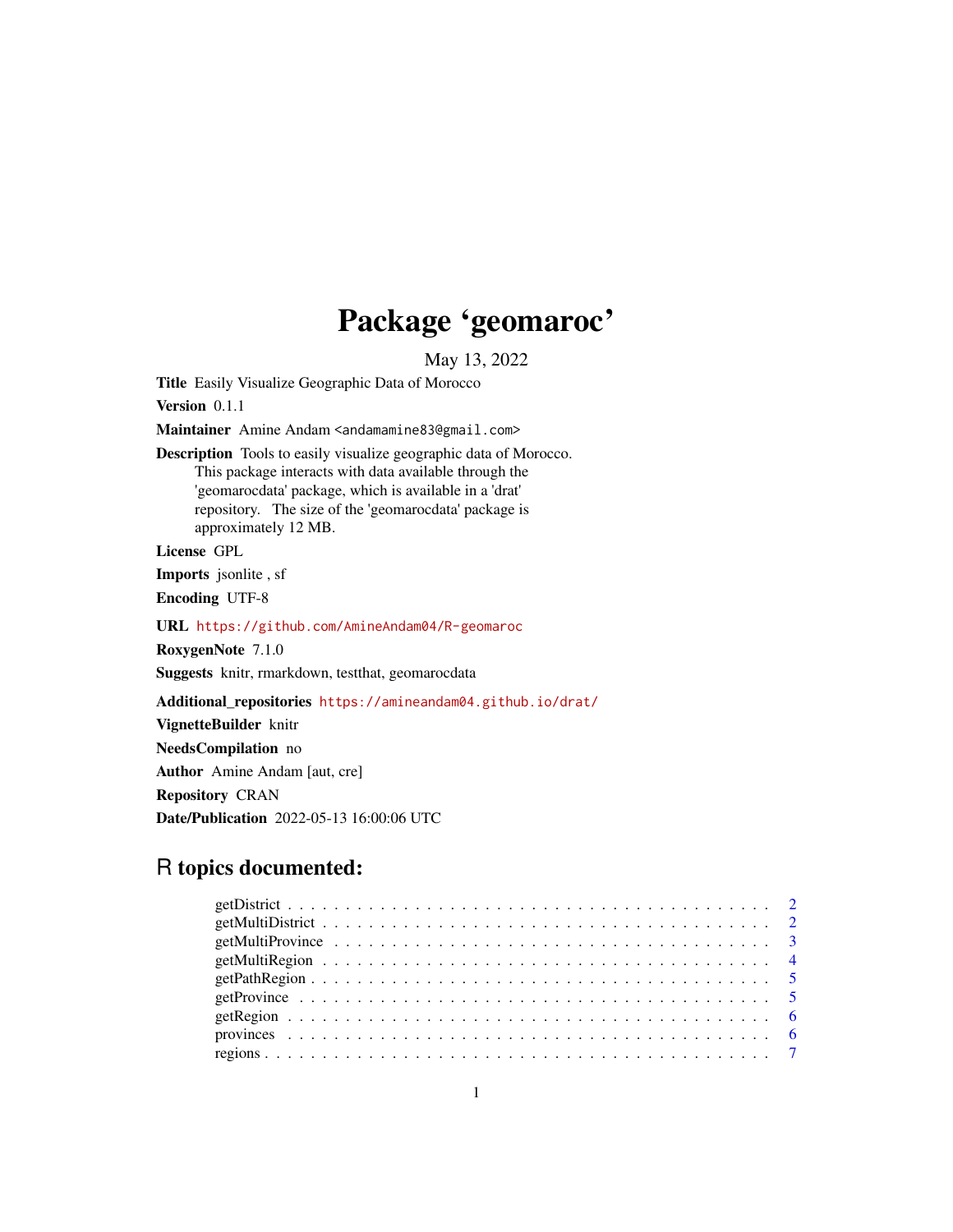# Package 'geomaroc'

May 13, 2022

Title Easily Visualize Geographic Data of Morocco

Version 0.1.1

Maintainer Amine Andam <andamamine83@gmail.com>

Description Tools to easily visualize geographic data of Morocco. This package interacts with data available through the 'geomarocdata' package, which is available in a 'drat' repository. The size of the 'geomarocdata' package is approximately 12 MB.

License GPL

Imports jsonlite , sf

Encoding UTF-8

URL <https://github.com/AmineAndam04/R-geomaroc>

RoxygenNote 7.1.0

Suggests knitr, rmarkdown, testthat, geomarocdata

Additional\_repositories <https://amineandam04.github.io/drat/>

VignetteBuilder knitr

NeedsCompilation no

Author Amine Andam [aut, cre]

Repository CRAN

Date/Publication 2022-05-13 16:00:06 UTC

# R topics documented: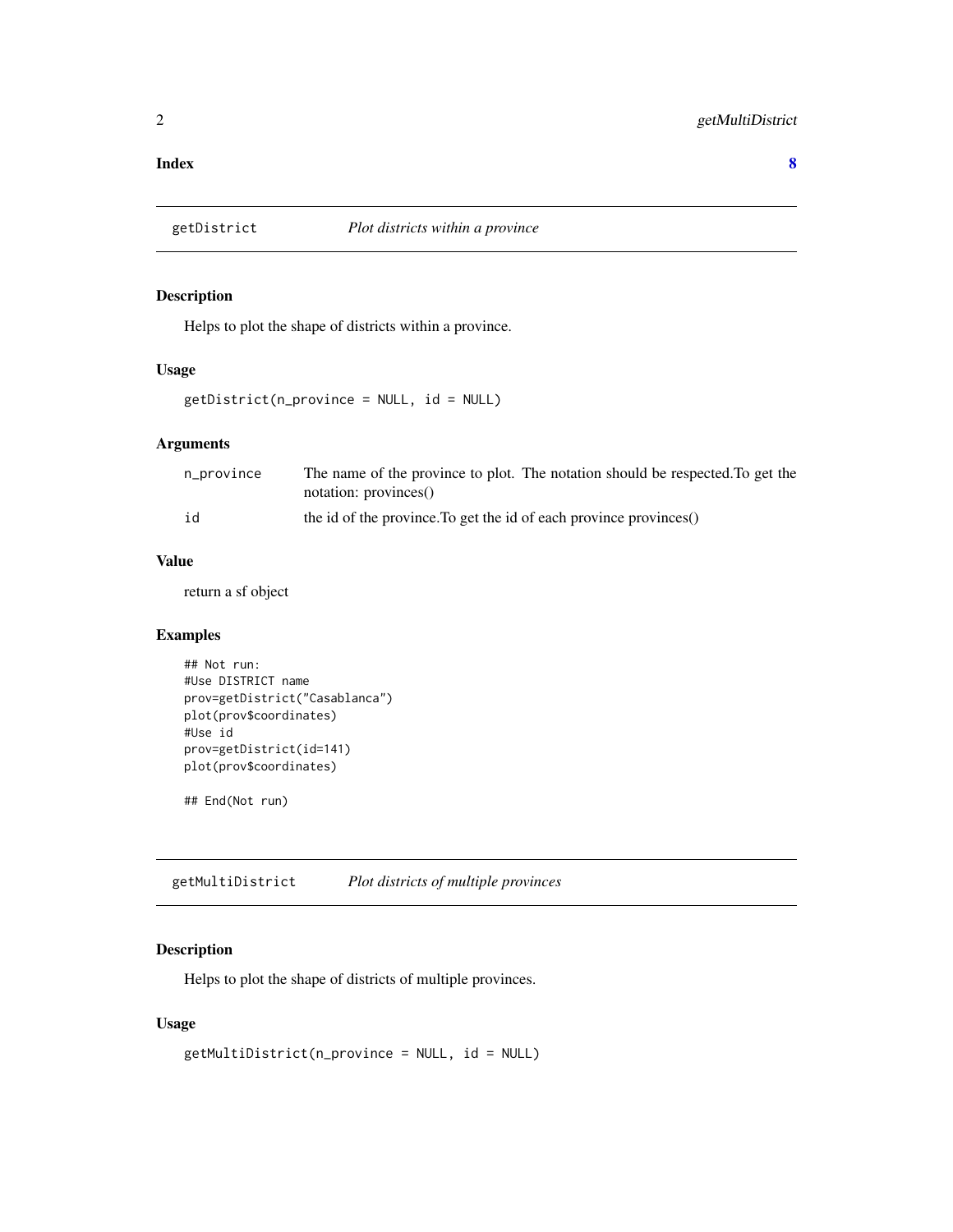#### <span id="page-1-0"></span>**Index** [8](#page-7-0) **8**

#### Description

Helps to plot the shape of districts within a province.

#### Usage

```
getDistrict(n_province = NULL, id = NULL)
```
#### Arguments

| n_province | The name of the province to plot. The notation should be respected. To get the |
|------------|--------------------------------------------------------------------------------|
|            | notation: provinces()                                                          |
| id         | the id of the province. To get the id of each province provinces()             |

#### Value

return a sf object

#### Examples

```
## Not run:
#Use DISTRICT name
prov=getDistrict("Casablanca")
plot(prov$coordinates)
#Use id
prov=getDistrict(id=141)
plot(prov$coordinates)
```
## End(Not run)

getMultiDistrict *Plot districts of multiple provinces*

#### Description

Helps to plot the shape of districts of multiple provinces.

#### Usage

```
getMultiDistrict(n_province = NULL, id = NULL)
```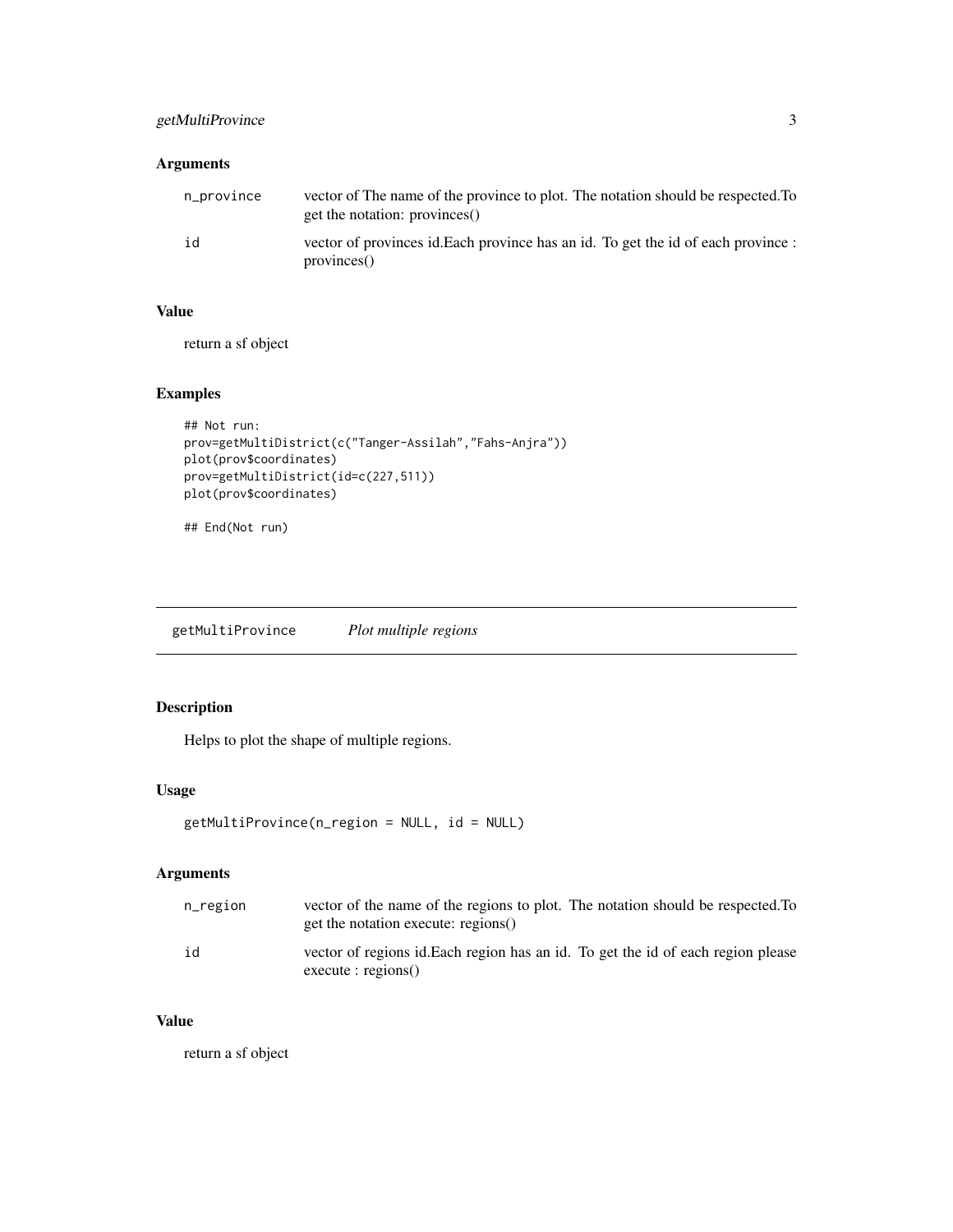#### <span id="page-2-0"></span>getMultiProvince 3

#### Arguments

| n_province | vector of The name of the province to plot. The notation should be respected. To<br>get the notation: provinces() |
|------------|-------------------------------------------------------------------------------------------------------------------|
| id         | vector of provinces id. Each province has an id. To get the id of each province :<br>provinees()                  |

#### Value

return a sf object

### Examples

```
## Not run:
prov=getMultiDistrict(c("Tanger-Assilah","Fahs-Anjra"))
plot(prov$coordinates)
prov=getMultiDistrict(id=c(227,511))
plot(prov$coordinates)
```
## End(Not run)

getMultiProvince *Plot multiple regions*

#### Description

Helps to plot the shape of multiple regions.

#### Usage

```
getMultiProvince(n_region = NULL, id = NULL)
```
#### Arguments

| $n$ _region | vector of the name of the regions to plot. The notation should be respected. To<br>get the notation execute: regions() |
|-------------|------------------------------------------------------------------------------------------------------------------------|
| id          | vector of regions id. Each region has an id. To get the id of each region please<br>execute : regions()                |

### Value

return a sf object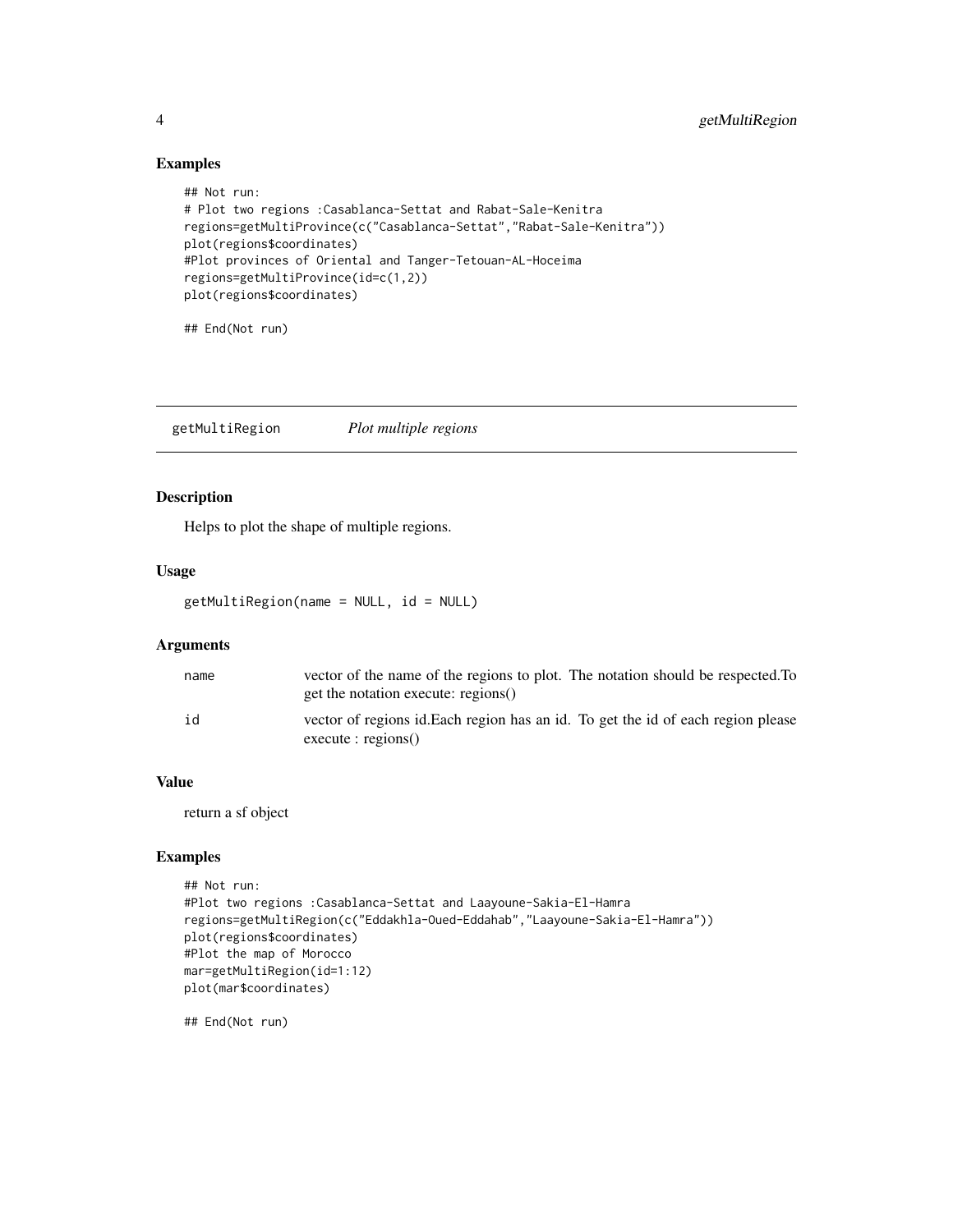#### Examples

```
## Not run:
# Plot two regions :Casablanca-Settat and Rabat-Sale-Kenitra
regions=getMultiProvince(c("Casablanca-Settat","Rabat-Sale-Kenitra"))
plot(regions$coordinates)
#Plot provinces of Oriental and Tanger-Tetouan-AL-Hoceima
regions=getMultiProvince(id=c(1,2))
plot(regions$coordinates)
## End(Not run)
```
getMultiRegion *Plot multiple regions*

#### Description

Helps to plot the shape of multiple regions.

#### Usage

```
getMultiRegion(name = NULL, id = NULL)
```
#### Arguments

| name | vector of the name of the regions to plot. The notation should be respected. To<br>get the notation execute: regions() |
|------|------------------------------------------------------------------------------------------------------------------------|
| id   | vector of regions id. Each region has an id. To get the id of each region please<br>execute : regions()                |

#### Value

return a sf object

#### Examples

```
## Not run:
#Plot two regions :Casablanca-Settat and Laayoune-Sakia-El-Hamra
regions=getMultiRegion(c("Eddakhla-Oued-Eddahab","Laayoune-Sakia-El-Hamra"))
plot(regions$coordinates)
#Plot the map of Morocco
mar=getMultiRegion(id=1:12)
plot(mar$coordinates)
```
## End(Not run)

<span id="page-3-0"></span>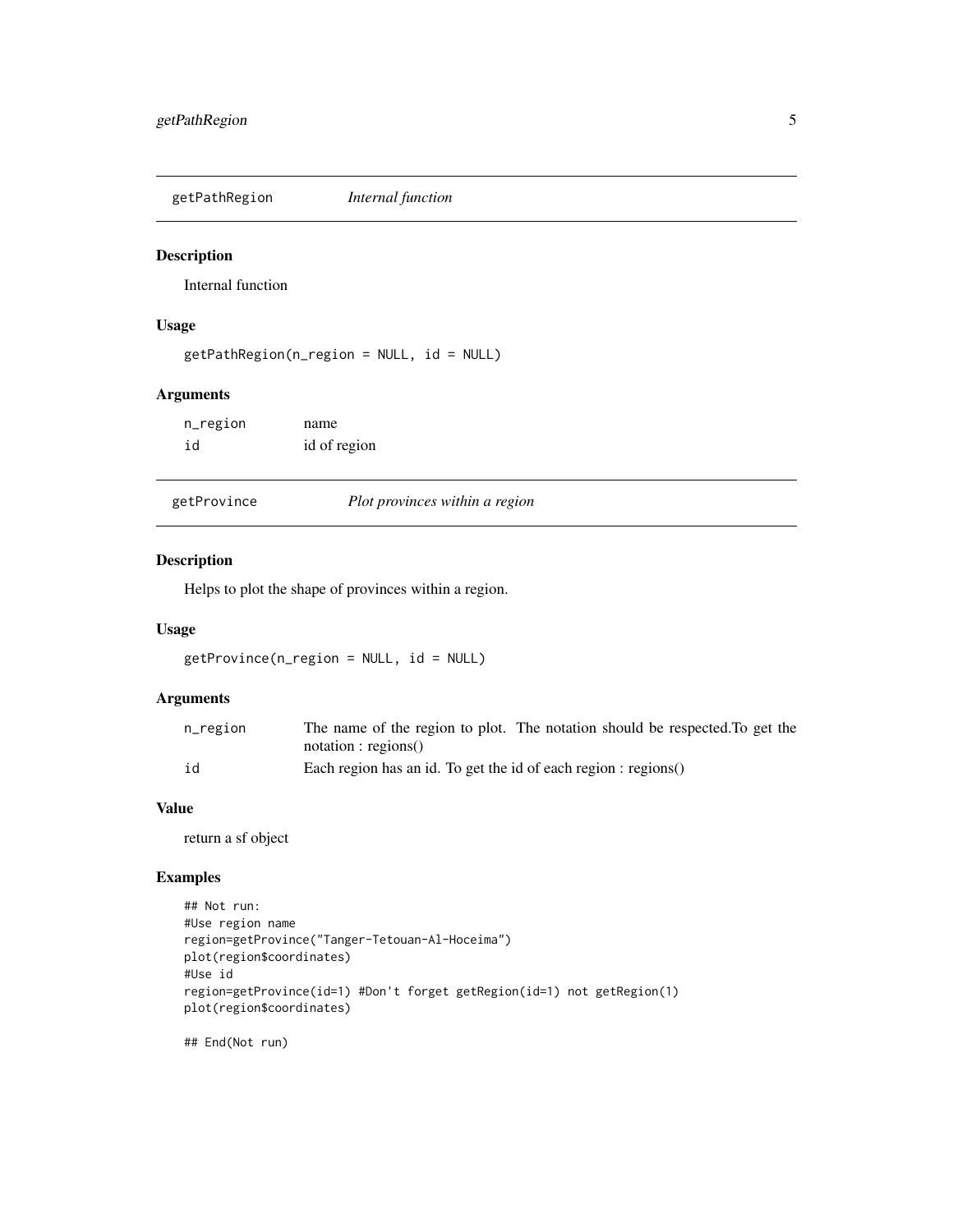<span id="page-4-0"></span>getPathRegion *Internal function*

#### Description

Internal function

#### Usage

getPathRegion(n\_region = NULL, id = NULL)

#### Arguments

| n_region | name         |
|----------|--------------|
| id       | id of region |

| getProvince |
|-------------|
|             |

Plot provinces within a region

#### Description

Helps to plot the shape of provinces within a region.

#### Usage

getProvince(n\_region = NULL, id = NULL)

#### Arguments

| n_region | The name of the region to plot. The notation should be respected. To get the |
|----------|------------------------------------------------------------------------------|
|          | notation : regions()                                                         |
| id       | Each region has an id. To get the id of each region : regions()              |

#### Value

return a sf object

#### Examples

```
## Not run:
#Use region name
region=getProvince("Tanger-Tetouan-Al-Hoceima")
plot(region$coordinates)
#Use id
region=getProvince(id=1) #Don't forget getRegion(id=1) not getRegion(1)
plot(region$coordinates)
```
## End(Not run)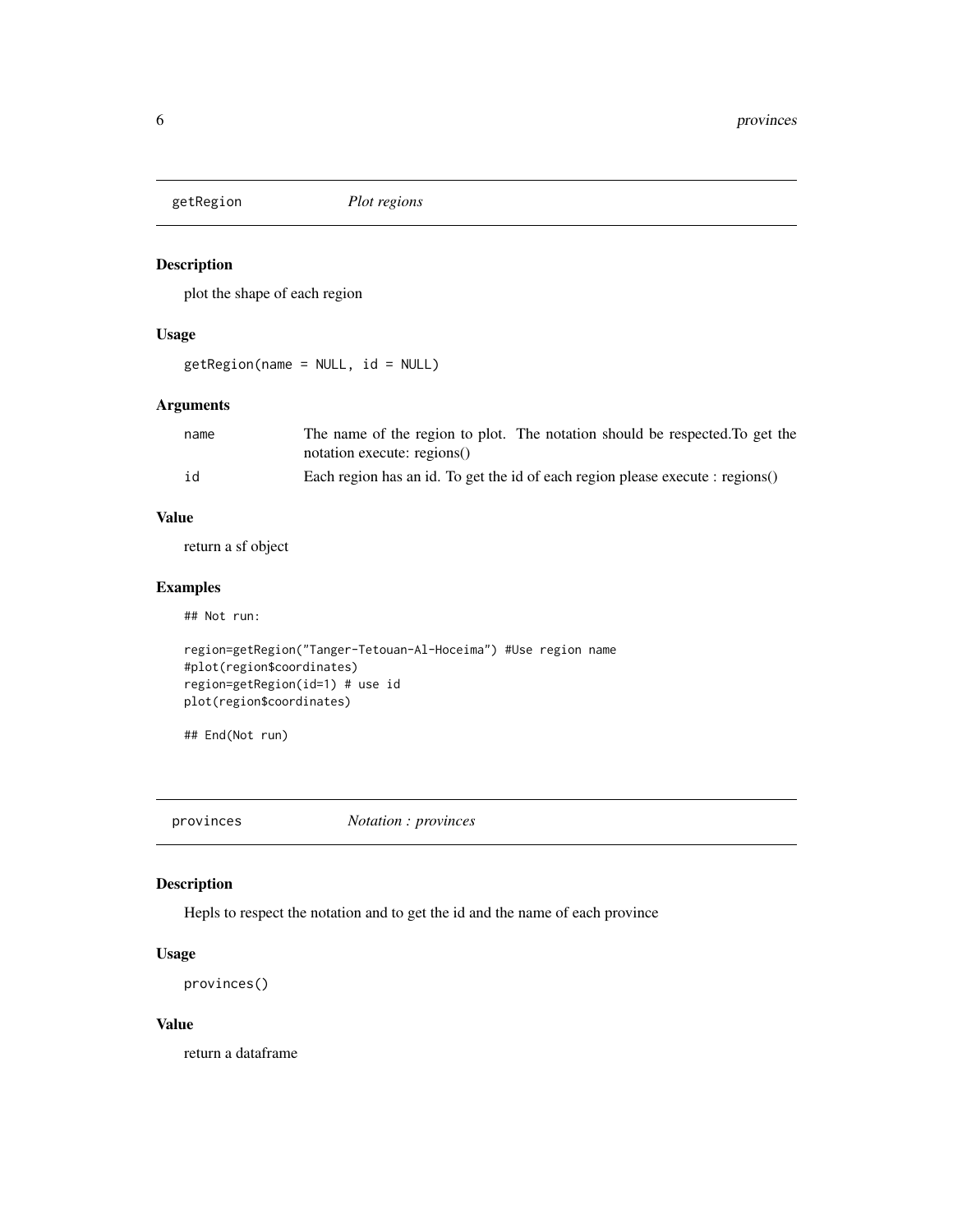<span id="page-5-0"></span>

#### Description

plot the shape of each region

#### Usage

getRegion(name = NULL, id = NULL)

#### Arguments

| name | The name of the region to plot. The notation should be respected. To get the   |
|------|--------------------------------------------------------------------------------|
|      | notation execute: regions()                                                    |
| id   | Each region has an id. To get the id of each region please execute : regions() |

#### Value

return a sf object

#### Examples

## Not run:

```
region=getRegion("Tanger-Tetouan-Al-Hoceima") #Use region name
#plot(region$coordinates)
region=getRegion(id=1) # use id
plot(region$coordinates)
```
## End(Not run)

provinces *Notation : provinces*

#### Description

Hepls to respect the notation and to get the id and the name of each province

#### Usage

```
provinces()
```
#### Value

return a dataframe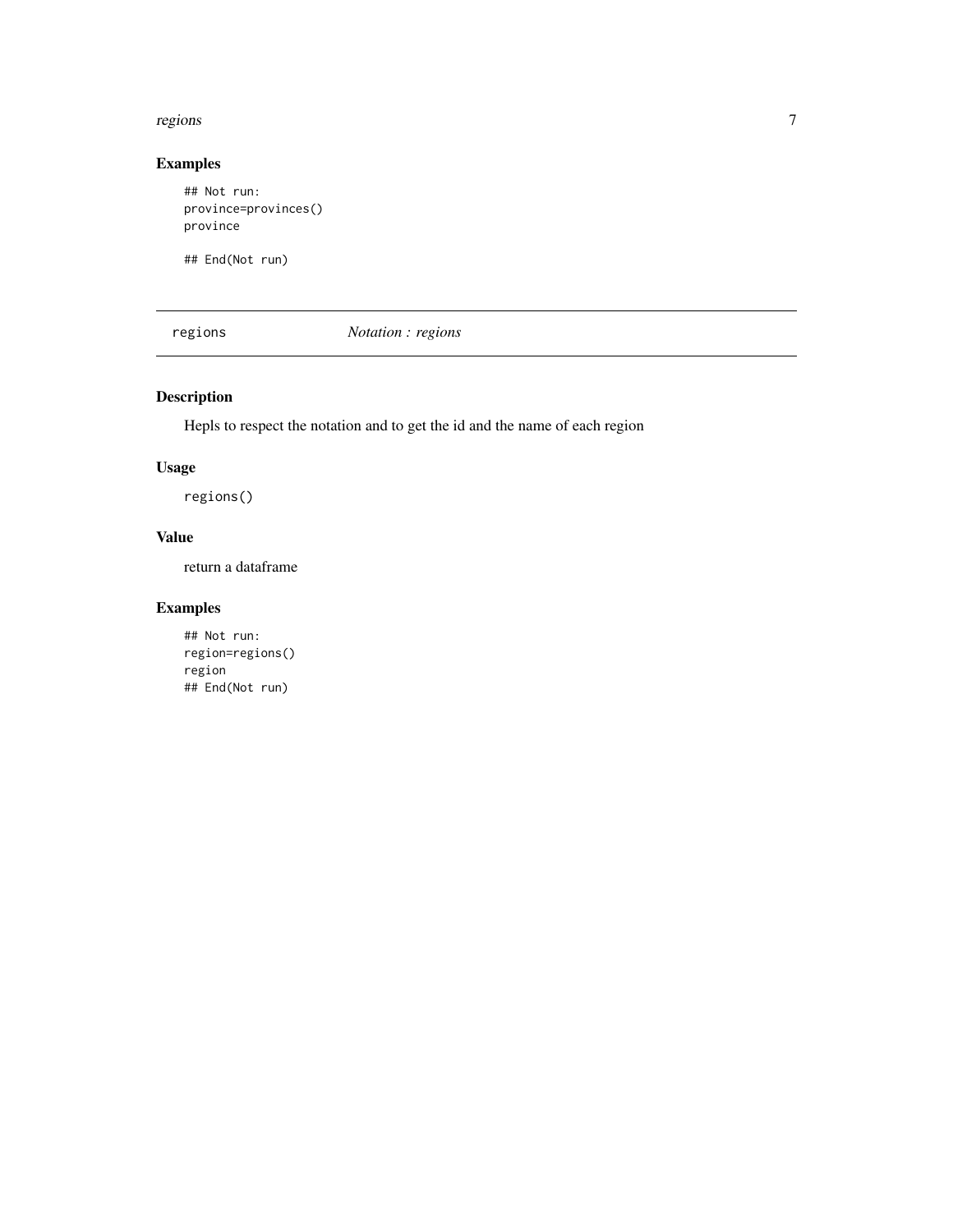#### <span id="page-6-0"></span>regions and the contract of the contract of the contract of the contract of the contract of the contract of the contract of the contract of the contract of the contract of the contract of the contract of the contract of th

#### Examples

## Not run: province=provinces() province

## End(Not run)

regions *Notation : regions*

## Description

Hepls to respect the notation and to get the id and the name of each region

#### Usage

regions()

#### Value

return a dataframe

# Examples

## Not run: region=regions() region ## End(Not run)